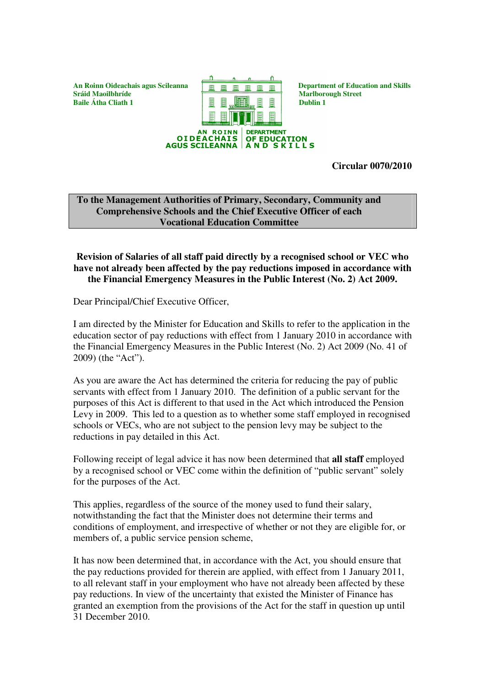

**Circular 0070/2010**

**To the Management Authorities of Primary, Secondary, Community and Comprehensive Schools and the Chief Executive Officer of each Vocational Education Committee**

## **Revision of Salaries of all staff paid directly by a recognised school or VEC who have not already been affected by the pay reductions imposed in accordance with the Financial Emergency Measures in the Public Interest (No. 2) Act 2009.**

Dear Principal/Chief Executive Officer,

I am directed by the Minister for Education and Skills to refer to the application in the education sector of pay reductions with effect from 1 January 2010 in accordance with the Financial Emergency Measures in the Public Interest (No. 2) Act 2009 (No. 41 of 2009) (the "Act").

As you are aware the Act has determined the criteria for reducing the pay of public servants with effect from 1 January 2010. The definition of a public servant for the purposes of this Act is different to that used in the Act which introduced the Pension Levy in 2009. This led to a question as to whether some staff employed in recognised schools or VECs, who are not subject to the pension levy may be subject to the reductions in pay detailed in this Act.

Following receipt of legal advice it has now been determined that **all staff** employed by a recognised school or VEC come within the definition of "public servant" solely for the purposes of the Act.

This applies, regardless of the source of the money used to fund their salary, notwithstanding the fact that the Minister does not determine their terms and conditions of employment, and irrespective of whether or not they are eligible for, or members of, a public service pension scheme,

It has now been determined that, in accordance with the Act, you should ensure that the pay reductions provided for therein are applied, with effect from 1 January 2011, to all relevant staff in your employment who have not already been affected by these pay reductions. In view of the uncertainty that existed the Minister of Finance has granted an exemption from the provisions of the Act for the staff in question up until 31 December 2010.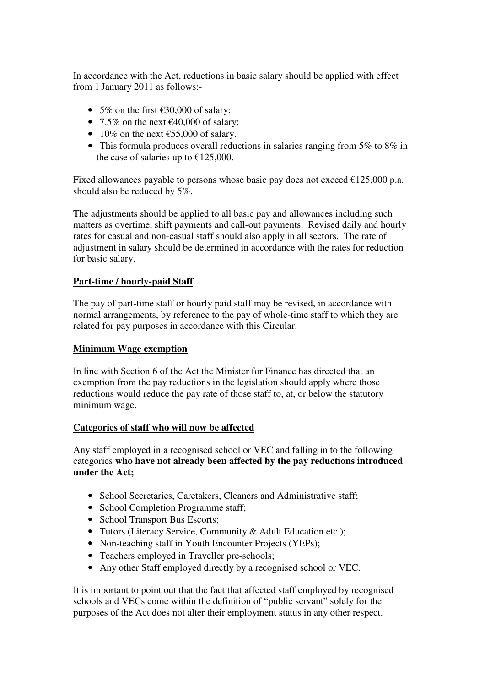In accordance with the Act, reductions in basic salary should be applied with effect from 1 January 2011 as follows:-

- 5% on the first  $\epsilon$ 30,000 of salary;
- 7.5% on the next  $\epsilon$ 40,000 of salary;
- 10% on the next  $\epsilon$ 55,000 of salary.
- This formula produces overall reductions in salaries ranging from 5% to 8% in the case of salaries up to  $£125,000$ .

Fixed allowances payable to persons whose basic pay does not exceed  $\epsilon$ 125,000 p.a. should also be reduced by 5%.

The adjustments should be applied to all basic pay and allowances including such matters as overtime, shift payments and call-out payments. Revised daily and hourly rates for casual and non-casual staff should also apply in all sectors. The rate of adjustment in salary should be determined in accordance with the rates for reduction for basic salary.

## **Part-time / hourly-paid Staff**

The pay of part-time staff or hourly paid staff may be revised, in accordance with normal arrangements, by reference to the pay of whole-time staff to which they are related for pay purposes in accordance with this Circular.

## **Minimum Wage exemption**

In line with Section 6 of the Act the Minister for Finance has directed that an exemption from the pay reductions in the legislation should apply where those reductions would reduce the pay rate of those staff to, at, or below the statutory minimum wage.

## **Categories of staff who will now be affected**

Any staff employed in a recognised school or VEC and falling in to the following categories **who have not already been affected by the pay reductions introduced under the Act;**

- School Secretaries, Caretakers, Cleaners and Administrative staff;
- School Completion Programme staff:
- School Transport Bus Escorts;
- Tutors (Literacy Service, Community & Adult Education etc.):
- Non-teaching staff in Youth Encounter Projects (YEPs);
- Teachers employed in Traveller pre-schools;
- Any other Staff employed directly by a recognised school or VEC.

It is important to point out that the fact that affected staff employed by recognised schools and VECs come within the definition of "public servant" solely for the purposes of the Act does not alter their employment status in any other respect.